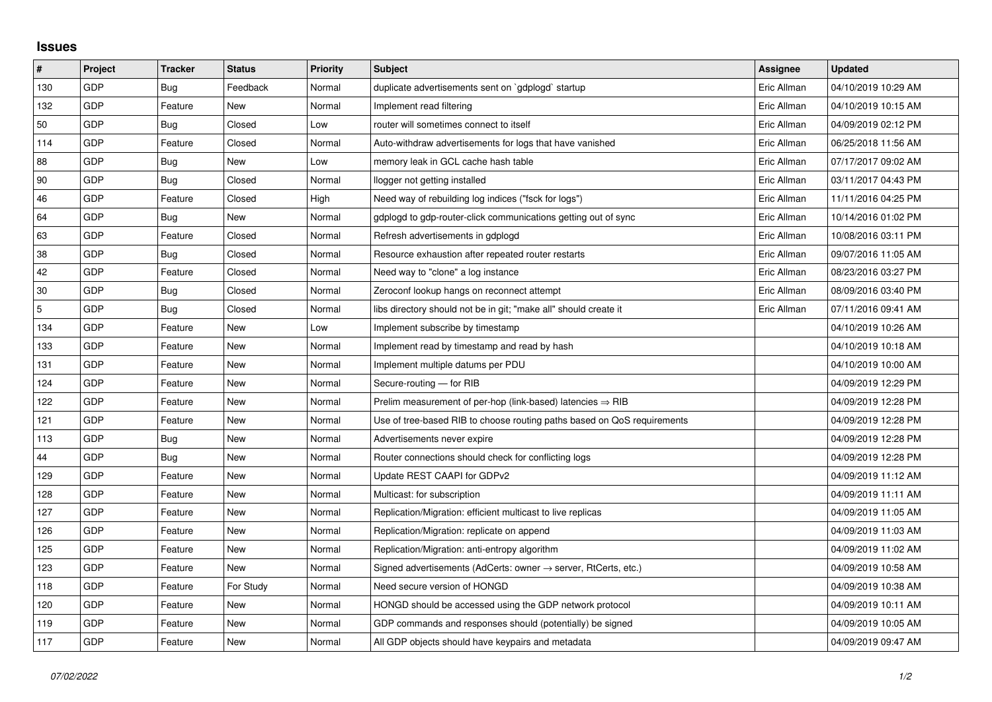## **Issues**

| #   | Project | <b>Tracker</b> | <b>Status</b> | <b>Priority</b> | <b>Subject</b>                                                             | Assignee    | <b>Updated</b>      |
|-----|---------|----------------|---------------|-----------------|----------------------------------------------------------------------------|-------------|---------------------|
| 130 | GDP     | Bug            | Feedback      | Normal          | duplicate advertisements sent on `gdplogd` startup                         | Eric Allman | 04/10/2019 10:29 AM |
| 132 | GDP     | Feature        | New           | Normal          | Implement read filtering                                                   | Eric Allman | 04/10/2019 10:15 AM |
| 50  | GDP     | Bug            | Closed        | Low             | router will sometimes connect to itself                                    | Eric Allman | 04/09/2019 02:12 PM |
| 114 | GDP     | Feature        | Closed        | Normal          | Auto-withdraw advertisements for logs that have vanished                   | Eric Allman | 06/25/2018 11:56 AM |
| 88  | GDP     | <b>Bug</b>     | New           | Low             | memory leak in GCL cache hash table                                        | Eric Allman | 07/17/2017 09:02 AM |
| 90  | GDP     | Bug            | Closed        | Normal          | llogger not getting installed                                              | Eric Allman | 03/11/2017 04:43 PM |
| 46  | GDP     | Feature        | Closed        | High            | Need way of rebuilding log indices ("fsck for logs")                       | Eric Allman | 11/11/2016 04:25 PM |
| 64  | GDP     | Bug            | New           | Normal          | gdplogd to gdp-router-click communications getting out of sync             | Eric Allman | 10/14/2016 01:02 PM |
| 63  | GDP     | Feature        | Closed        | Normal          | Refresh advertisements in gdplogd                                          | Eric Allman | 10/08/2016 03:11 PM |
| 38  | GDP     | <b>Bug</b>     | Closed        | Normal          | Resource exhaustion after repeated router restarts                         | Eric Allman | 09/07/2016 11:05 AM |
| 42  | GDP     | Feature        | Closed        | Normal          | Need way to "clone" a log instance                                         | Eric Allman | 08/23/2016 03:27 PM |
| 30  | GDP     | Bug            | Closed        | Normal          | Zeroconf lookup hangs on reconnect attempt                                 | Eric Allman | 08/09/2016 03:40 PM |
| 5   | GDP     | <b>Bug</b>     | Closed        | Normal          | libs directory should not be in git; "make all" should create it           | Eric Allman | 07/11/2016 09:41 AM |
| 134 | GDP     | Feature        | New           | Low             | Implement subscribe by timestamp                                           |             | 04/10/2019 10:26 AM |
| 133 | GDP     | Feature        | New           | Normal          | Implement read by timestamp and read by hash                               |             | 04/10/2019 10:18 AM |
| 131 | GDP     | Feature        | <b>New</b>    | Normal          | Implement multiple datums per PDU                                          |             | 04/10/2019 10:00 AM |
| 124 | GDP     | Feature        | New           | Normal          | Secure-routing - for RIB                                                   |             | 04/09/2019 12:29 PM |
| 122 | GDP     | Feature        | New           | Normal          | Prelim measurement of per-hop (link-based) latencies $\Rightarrow$ RIB     |             | 04/09/2019 12:28 PM |
| 121 | GDP     | Feature        | New           | Normal          | Use of tree-based RIB to choose routing paths based on QoS requirements    |             | 04/09/2019 12:28 PM |
| 113 | GDP     | Bug            | New           | Normal          | Advertisements never expire                                                |             | 04/09/2019 12:28 PM |
| 44  | GDP     | Bug            | New           | Normal          | Router connections should check for conflicting logs                       |             | 04/09/2019 12:28 PM |
| 129 | GDP     | Feature        | New           | Normal          | Update REST CAAPI for GDPv2                                                |             | 04/09/2019 11:12 AM |
| 128 | GDP     | Feature        | New           | Normal          | Multicast: for subscription                                                |             | 04/09/2019 11:11 AM |
| 127 | GDP     | Feature        | New           | Normal          | Replication/Migration: efficient multicast to live replicas                |             | 04/09/2019 11:05 AM |
| 126 | GDP     | Feature        | New           | Normal          | Replication/Migration: replicate on append                                 |             | 04/09/2019 11:03 AM |
| 125 | GDP     | Feature        | <b>New</b>    | Normal          | Replication/Migration: anti-entropy algorithm                              |             | 04/09/2019 11:02 AM |
| 123 | GDP     | Feature        | New           | Normal          | Signed advertisements (AdCerts: owner $\rightarrow$ server, RtCerts, etc.) |             | 04/09/2019 10:58 AM |
| 118 | GDP     | Feature        | For Study     | Normal          | Need secure version of HONGD                                               |             | 04/09/2019 10:38 AM |
| 120 | GDP     | Feature        | New           | Normal          | HONGD should be accessed using the GDP network protocol                    |             | 04/09/2019 10:11 AM |
| 119 | GDP     | Feature        | New           | Normal          | GDP commands and responses should (potentially) be signed                  |             | 04/09/2019 10:05 AM |
| 117 | GDP     | Feature        | New           | Normal          | All GDP objects should have keypairs and metadata                          |             | 04/09/2019 09:47 AM |